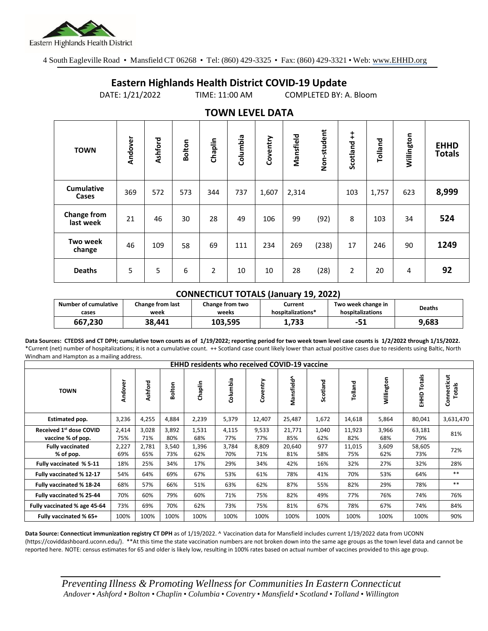

4 South Eagleville Road • Mansfield CT 06268 • Tel: (860) 429-3325 • Fax: (860) 429-3321 • Web: www.EHHD.org

## **Eastern Highlands Health District COVID-19 Update**

DATE: 1/21/2022 TIME: 11:00 AM COMPLETED BY: A. Bloom

| . <i>.</i>                      |         |         |               |                |          |          |           |             |               |         |            |                              |
|---------------------------------|---------|---------|---------------|----------------|----------|----------|-----------|-------------|---------------|---------|------------|------------------------------|
| <b>TOWN</b>                     | Andover | Ashford | <b>Bolton</b> | Chaplin        | Columbia | Coventry | Mansfield | Non-student | ŧ<br>Scotland | Tolland | Willington | <b>EHHD</b><br><b>Totals</b> |
| <b>Cumulative</b><br>Cases      | 369     | 572     | 573           | 344            | 737      | 1,607    | 2,314     |             | 103           | 1,757   | 623        | 8,999                        |
| <b>Change from</b><br>last week | 21      | 46      | 30            | 28             | 49       | 106      | 99        | (92)        | 8             | 103     | 34         | 524                          |
| Two week<br>change              | 46      | 109     | 58            | 69             | 111      | 234      | 269       | (238)       | 17            | 246     | 90         | 1249                         |
| <b>Deaths</b>                   | 5       | 5       | 6             | $\overline{2}$ | 10       | 10       | 28        | (28)        | 2             | 20      | 4          | 92                           |

## **TOWN LEVEL DATA**

## **CONNECTICUT TOTALS (January 19, 2022)**

| Number of cumulative | Change from last | Change from two | Current           | Two week change in | <b>Deaths</b> |
|----------------------|------------------|-----------------|-------------------|--------------------|---------------|
| cases                | week             | weeks           | hospitalizations* | hospitalizations   |               |
| 667,230              | 38.441           | 103.595         | 1,733             | -51                | 9,683         |

**Data Sources: CTEDSS and CT DPH; cumulative town counts as of 1/19/2022; reporting period for two week town level case counts is 1/2/2022 through 1/15/2022.** \*Current (net) number of hospitalizations; it is not a cumulative count. ++ Scotland case count likely lower than actual positive cases due to residents using Baltic, North Windham and Hampton as a mailing address.

| <b>EHHD residents who received COVID-19 vaccine</b> |              |              |              |              |              |              |               |              |               |              |                  |                       |
|-----------------------------------------------------|--------------|--------------|--------------|--------------|--------------|--------------|---------------|--------------|---------------|--------------|------------------|-----------------------|
| <b>TOWN</b>                                         | Andover      | Ashford      | Bolton       | Chaplin      | Columbia     | Coventry     | Mansfield^    | Scotland     | Tolland       | Willington   | Totals<br>요<br>표 | Connecticut<br>Totals |
| Estimated pop.                                      | 3,236        | 4,255        | 4,884        | 2,239        | 5,379        | 12,407       | 25,487        | 1,672        | 14,618        | 5,864        | 80,041           | 3,631,470             |
| Received 1st dose COVID<br>vaccine % of pop.        | 2,414<br>75% | 3,028<br>71% | 3,892<br>80% | 1,531<br>68% | 4,115<br>77% | 9,533<br>77% | 21,771<br>85% | 1,040<br>62% | 11,923<br>82% | 3,966<br>68% | 63,181<br>79%    | 81%                   |
| <b>Fully vaccinated</b><br>% of pop.                | 2,227<br>69% | 2,781<br>65% | 3,540<br>73% | 1,396<br>62% | 3,784<br>70% | 8,809<br>71% | 20,640<br>81% | 977<br>58%   | 11,015<br>75% | 3,609<br>62% | 58,605<br>73%    | 72%                   |
| Fully vaccinated % 5-11                             | 18%          | 25%          | 34%          | 17%          | 29%          | 34%          | 42%           | 16%          | 32%           | 27%          | 32%              | 28%                   |
| Fully vaccinated % 12-17                            | 54%          | 64%          | 69%          | 67%          | 53%          | 61%          | 78%           | 41%          | 70%           | 53%          | 64%              | $***$                 |
| Fully vaccinated % 18-24                            | 68%          | 57%          | 66%          | 51%          | 63%          | 62%          | 87%           | 55%          | 82%           | 29%          | 78%              | $***$                 |
| Fully vaccinated % 25-44                            | 70%          | 60%          | 79%          | 60%          | 71%          | 75%          | 82%           | 49%          | 77%           | 76%          | 74%              | 76%                   |
| Fully vaccinated % age 45-64                        | 73%          | 69%          | 70%          | 62%          | 73%          | 75%          | 81%           | 67%          | 78%           | 67%          | 74%              | 84%                   |
| Fully vaccinated % 65+                              | 100%         | 100%         | 100%         | 100%         | 100%         | 100%         | 100%          | 100%         | 100%          | 100%         | 100%             | 90%                   |

**Data Source: Connecticut immunization registry CT DPH** as of 1/19/2022. ^ Vaccination data for Mansfield includes current 1/19/2022 data from UCONN (https://coviddashboard.uconn.edu/). \*\*At this time the state vaccination numbers are not broken down into the same age groups as the town level data and cannot be reported here. NOTE: census estimates for 65 and older is likely low, resulting in 100% rates based on actual number of vaccines provided to this age group.

*Preventing Illness & Promoting Wellnessfor Communities In Eastern Connecticut* Andover • Ashford • Bolton • Chaplin • Columbia • Coventry • Mansfield • Scotland • Tolland • Willington